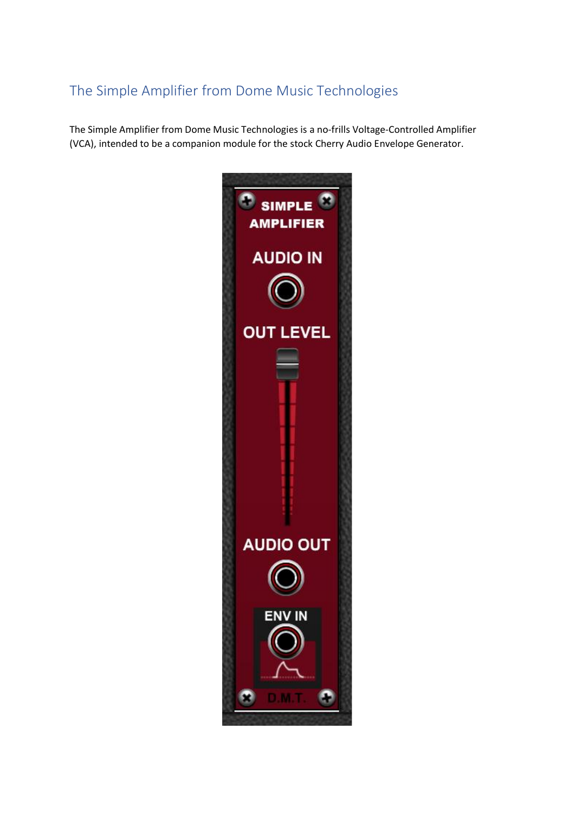# The Simple Amplifier from Dome Music Technologies

The Simple Amplifier from Dome Music Technologies is a no-frills Voltage-Controlled Amplifier (VCA), intended to be a companion module for the stock Cherry Audio Envelope Generator.

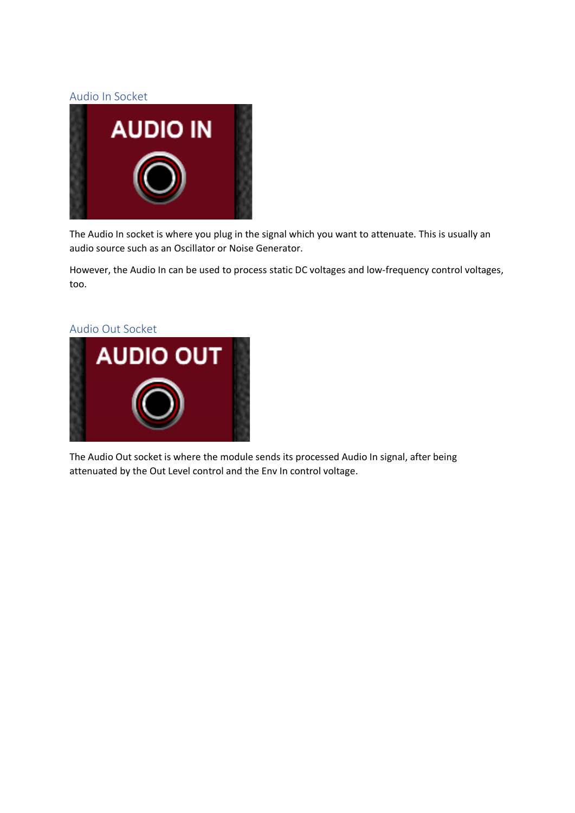### Audio In Socket



The Audio In socket is where you plug in the signal which you want to attenuate. This is usually an audio source such as an Oscillator or Noise Generator.

However, the Audio In can be used to process static DC voltages and low-frequency control voltages, too.

#### Audio Out Socket



The Audio Out socket is where the module sends its processed Audio In signal, after being attenuated by the Out Level control and the Env In control voltage.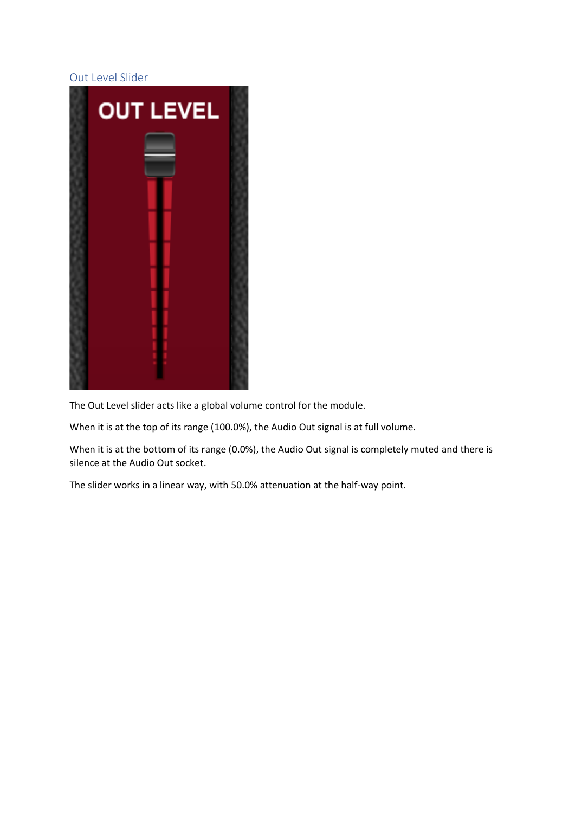# Out Level Slider



The Out Level slider acts like a global volume control for the module.

When it is at the top of its range (100.0%), the Audio Out signal is at full volume.

When it is at the bottom of its range (0.0%), the Audio Out signal is completely muted and there is silence at the Audio Out socket.

The slider works in a linear way, with 50.0% attenuation at the half-way point.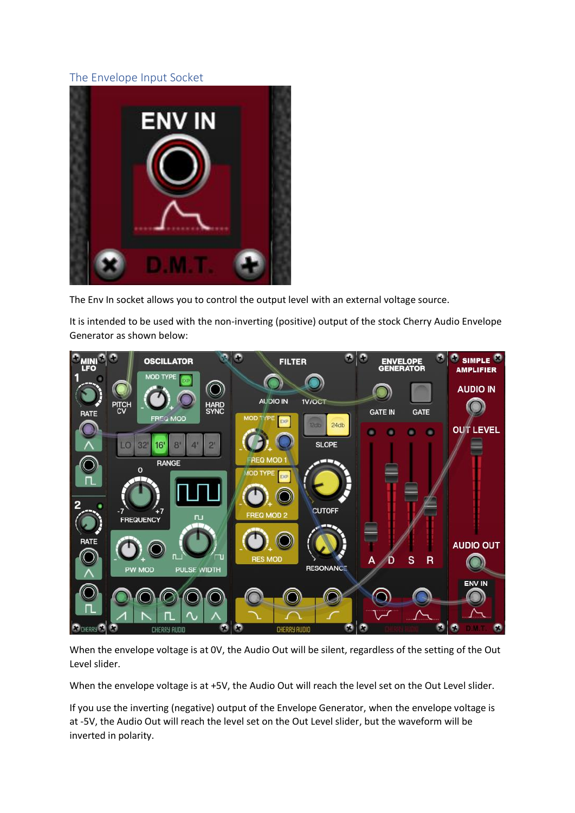# The Envelope Input Socket



The Env In socket allows you to control the output level with an external voltage source.

It is intended to be used with the non-inverting (positive) output of the stock Cherry Audio Envelope Generator as shown below:



When the envelope voltage is at 0V, the Audio Out will be silent, regardless of the setting of the Out Level slider.

When the envelope voltage is at +5V, the Audio Out will reach the level set on the Out Level slider.

If you use the inverting (negative) output of the Envelope Generator, when the envelope voltage is at -5V, the Audio Out will reach the level set on the Out Level slider, but the waveform will be inverted in polarity.